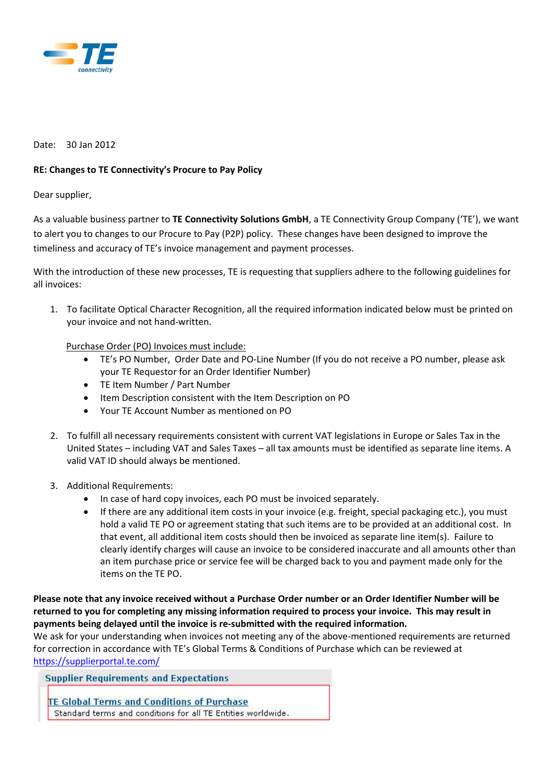

## Date: 30 Jan 2012

## **RE: Changes to TE Connectivity's Procure to Pay Policy**

## Dear supplier,

As a valuable business partner to **TE Connectivity Solutions GmbH**, a TE Connectivity Group Company ('TE'), we want to alert you to changes to our Procure to Pay (P2P) policy. These changes have been designed to improve the timeliness and accuracy of TE's invoice management and payment processes.

With the introduction of these new processes, TE is requesting that suppliers adhere to the following guidelines for all invoices:

1. To facilitate Optical Character Recognition, all the required information indicated below must be printed on your invoice and not hand-written.

## Purchase Order (PO) Invoices must include:

- TE's PO Number, Order Date and PO-Line Number (If you do not receive a PO number, please ask your TE Requestor for an Order Identifier Number)
- TE Item Number / Part Number
- Item Description consistent with the Item Description on PO
- Your TE Account Number as mentioned on PO
- 2. To fulfill all necessary requirements consistent with current VAT legislations in Europe or Sales Tax in the United States – including VAT and Sales Taxes – all tax amounts must be identified as separate line items. A valid VAT ID should always be mentioned.
- 3. Additional Requirements:
	- In case of hard copy invoices, each PO must be invoiced separately.
	- If there are any additional item costs in your invoice (e.g. freight, special packaging etc.), you must hold a valid TE PO or agreement stating that such items are to be provided at an additional cost. In that event, all additional item costs should then be invoiced as separate line item(s). Failure to clearly identify charges will cause an invoice to be considered inaccurate and all amounts other than an item purchase price or service fee will be charged back to you and payment made only for the items on the TE PO.

**Please note that any invoice received without a Purchase Order number or an Order Identifier Number will be returned to you for completing any missing information required to process your invoice. This may result in payments being delayed until the invoice is re-submitted with the required information.** 

We ask for your understanding when invoices not meeting any of the above-mentioned requirements are returned for correction in accordance with TE's Global Terms & Conditions of Purchase which can be reviewed at <https://supplierportal.te.com/>

**Supplier Requirements and Expectations** 

**TE Global Terms and Conditions of Purchase** Standard terms and conditions for all TE Entities worldwide.